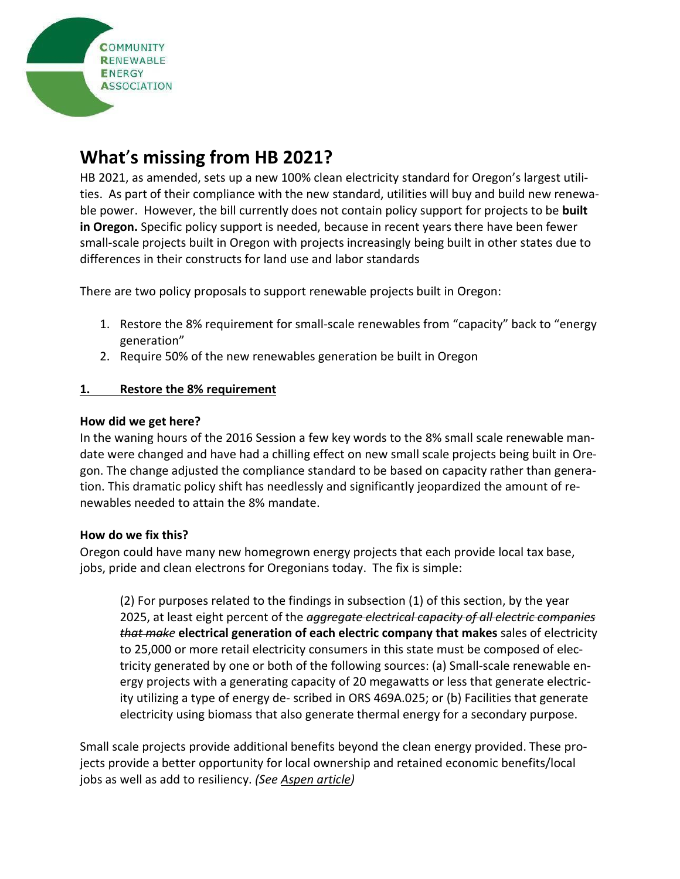

# **What**'**s missing from HB 2021?**

HB 2021, as amended, sets up a new 100% clean electricity standard for Oregon's largest utilities. As part of their compliance with the new standard, utilities will buy and build new renewable power. However, the bill currently does not contain policy support for projects to be **built in Oregon.** Specific policy support is needed, because in recent years there have been fewer small-scale projects built in Oregon with projects increasingly being built in other states due to differences in their constructs for land use and labor standards

There are two policy proposals to support renewable projects built in Oregon:

- 1. Restore the 8% requirement for small-scale renewables from "capacity" back to "energy generation"
- 2. Require 50% of the new renewables generation be built in Oregon

## **1. Restore the 8% requirement**

#### **How did we get here?**

In the waning hours of the 2016 Session a few key words to the 8% small scale renewable mandate were changed and have had a chilling effect on new small scale projects being built in Oregon. The change adjusted the compliance standard to be based on capacity rather than generation. This dramatic policy shift has needlessly and significantly jeopardized the amount of renewables needed to attain the 8% mandate.

### **How do we fix this?**

Oregon could have many new homegrown energy projects that each provide local tax base, jobs, pride and clean electrons for Oregonians today. The fix is simple:

(2) For purposes related to the findings in subsection (1) of this section, by the year 2025, at least eight percent of the *aggregate electrical capacity of all electric companies that make* **electrical generation of each electric company that makes** sales of electricity to 25,000 or more retail electricity consumers in this state must be composed of electricity generated by one or both of the following sources: (a) Small-scale renewable energy projects with a generating capacity of 20 megawatts or less that generate electricity utilizing a type of energy de- scribed in ORS 469A.025; or (b) Facilities that generate electricity using biomass that also generate thermal energy for a secondary purpose.

Small scale projects provide additional benefits beyond the clean energy provided. These projects provide a better opportunity for local ownership and retained economic benefits/local jobs as well as add to resiliency. *(See Aspen article)*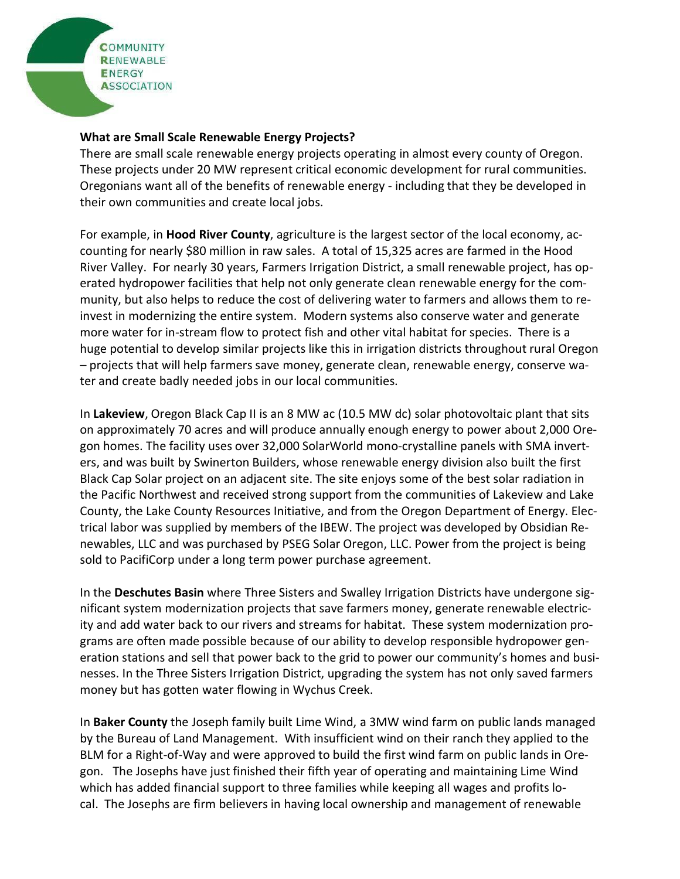

## **What are Small Scale Renewable Energy Projects?**

There are small scale renewable energy projects operating in almost every county of Oregon. These projects under 20 MW represent critical economic development for rural communities. Oregonians want all of the benefits of renewable energy - including that they be developed in their own communities and create local jobs.

For example, in **Hood River County**, agriculture is the largest sector of the local economy, accounting for nearly \$80 million in raw sales. A total of 15,325 acres are farmed in the Hood River Valley. For nearly 30 years, Farmers Irrigation District, a small renewable project, has operated hydropower facilities that help not only generate clean renewable energy for the community, but also helps to reduce the cost of delivering water to farmers and allows them to reinvest in modernizing the entire system. Modern systems also conserve water and generate more water for in-stream flow to protect fish and other vital habitat for species. There is a huge potential to develop similar projects like this in irrigation districts throughout rural Oregon – projects that will help farmers save money, generate clean, renewable energy, conserve water and create badly needed jobs in our local communities.

In **Lakeview**, Oregon Black Cap II is an 8 MW ac (10.5 MW dc) solar photovoltaic plant that sits on approximately 70 acres and will produce annually enough energy to power about 2,000 Oregon homes. The facility uses over 32,000 SolarWorld mono-crystalline panels with SMA inverters, and was built by Swinerton Builders, whose renewable energy division also built the first Black Cap Solar project on an adjacent site. The site enjoys some of the best solar radiation in the Pacific Northwest and received strong support from the communities of Lakeview and Lake County, the Lake County Resources Initiative, and from the Oregon Department of Energy. Electrical labor was supplied by members of the IBEW. The project was developed by Obsidian Renewables, LLC and was purchased by PSEG Solar Oregon, LLC. Power from the project is being sold to PacifiCorp under a long term power purchase agreement.

In the **Deschutes Basin** where Three Sisters and Swalley Irrigation Districts have undergone significant system modernization projects that save farmers money, generate renewable electricity and add water back to our rivers and streams for habitat. These system modernization programs are often made possible because of our ability to develop responsible hydropower generation stations and sell that power back to the grid to power our community's homes and businesses. In the Three Sisters Irrigation District, upgrading the system has not only saved farmers money but has gotten water flowing in Wychus Creek.

In **Baker County** the Joseph family built Lime Wind, a 3MW wind farm on public lands managed by the Bureau of Land Management. With insufficient wind on their ranch they applied to the BLM for a Right-of-Way and were approved to build the first wind farm on public lands in Oregon. The Josephs have just finished their fifth year of operating and maintaining Lime Wind which has added financial support to three families while keeping all wages and profits local. The Josephs are firm believers in having local ownership and management of renewable